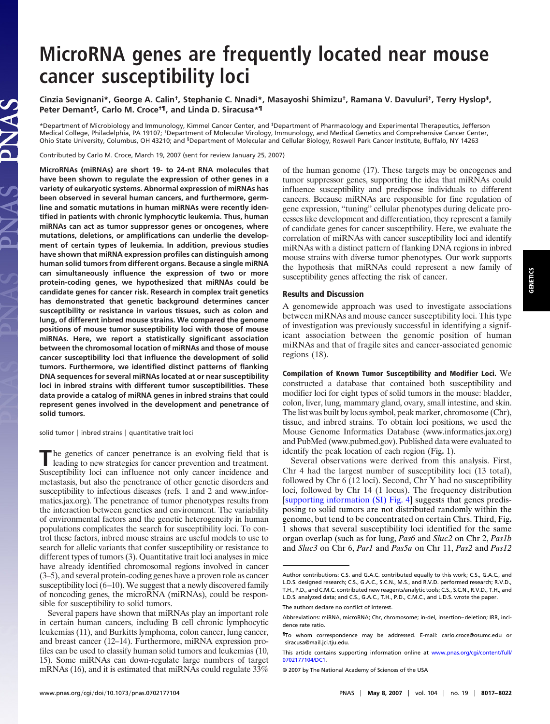## **MicroRNA genes are frequently located near mouse cancer susceptibility loci**

**Cinzia Sevignani\*, George A. Calin†, Stephanie C. Nnadi\*, Masayoshi Shimizu†, Ramana V. Davuluri†, Terry Hyslop‡, Peter Demant§, Carlo M. Croce†¶, and Linda D. Siracusa\*¶**

\*Department of Microbiology and Immunology, Kimmel Cancer Center, and ‡Department of Pharmacology and Experimental Therapeutics, Jefferson Medical College, Philadelphia, PA 19107; †Department of Molecular Virology, Immunology, and Medical Genetics and Comprehensive Cancer Center, Ohio State University, Columbus, OH 43210; and §Department of Molecular and Cellular Biology, Roswell Park Cancer Institute, Buffalo, NY 14263

Contributed by Carlo M. Croce, March 19, 2007 (sent for review January 25, 2007)

**MicroRNAs (miRNAs) are short 19- to 24-nt RNA molecules that have been shown to regulate the expression of other genes in a variety of eukaryotic systems. Abnormal expression of miRNAs has been observed in several human cancers, and furthermore, germline and somatic mutations in human miRNAs were recently identified in patients with chronic lymphocytic leukemia. Thus, human miRNAs can act as tumor suppressor genes or oncogenes, where mutations, deletions, or amplifications can underlie the development of certain types of leukemia. In addition, previous studies have shown that miRNA expression profiles can distinguish among human solid tumors from different organs. Because a single miRNA can simultaneously influence the expression of two or more protein-coding genes, we hypothesized that miRNAs could be candidate genes for cancer risk. Research in complex trait genetics has demonstrated that genetic background determines cancer susceptibility or resistance in various tissues, such as colon and lung, of different inbred mouse strains. We compared the genome positions of mouse tumor susceptibility loci with those of mouse miRNAs. Here, we report a statistically significant association between the chromosomal location of miRNAs and those of mouse cancer susceptibility loci that influence the development of solid tumors. Furthermore, we identified distinct patterns of flanking DNA sequences for several miRNAs located at or near susceptibility loci in inbred strains with different tumor susceptibilities. These data provide a catalog of miRNA genes in inbred strains that could represent genes involved in the development and penetrance of solid tumors.**

solid tumor  $|$  inbred strains  $|$  quantitative trait loci

The genetics of cancer penetrance is an evolving field that is leading to new strategies for cancer prevention and treatment. Susceptibility loci can influence not only cancer incidence and metastasis, but also the penetrance of other genetic disorders and susceptibility to infectious diseases (refs. 1 and 2 and www.informatics.jax.org). The penetrance of tumor phenotypes results from the interaction between genetics and environment. The variability of environmental factors and the genetic heterogeneity in human populations complicates the search for susceptibility loci. To control these factors, inbred mouse strains are useful models to use to search for allelic variants that confer susceptibility or resistance to different types of tumors (3). Quantitative trait loci analyses in mice have already identified chromosomal regions involved in cancer (3–5), and several protein-coding genes have a proven role as cancer susceptibility loci (6–10). We suggest that a newly discovered family of noncoding genes, the microRNA (miRNAs), could be responsible for susceptibility to solid tumors.

of the human genome (17). These targets may be oncogenes and tumor suppressor genes, supporting the idea that miRNAs could influence susceptibility and predispose individuals to different cancers. Because miRNAs are responsible for fine regulation of gene expression, ''tuning'' cellular phenotypes during delicate processes like development and differentiation, they represent a family of candidate genes for cancer susceptibility. Here, we evaluate the correlation of miRNAs with cancer susceptibility loci and identify miRNAs with a distinct pattern of flanking DNA regions in inbred mouse strains with diverse tumor phenotypes. Our work supports the hypothesis that miRNAs could represent a new family of susceptibility genes affecting the risk of cancer.

## **Results and Discussion**

A genomewide approach was used to investigate associations between miRNAs and mouse cancer susceptibility loci. This type of investigation was previously successful in identifying a significant association between the genomic position of human miRNAs and that of fragile sites and cancer-associated genomic regions (18).

**Compilation of Known Tumor Susceptibility and Modifier Loci.** We constructed a database that contained both susceptibility and modifier loci for eight types of solid tumors in the mouse: bladder, colon, liver, lung, mammary gland, ovary, small intestine, and skin. The list was built by locus symbol, peak marker, chromosome (Chr), tissue, and inbred strains. To obtain loci positions, we used the Mouse Genome Informatics Database (www.informatics.jax.org) and PubMed (www.pubmed.gov). Published data were evaluated to identify the peak location of each region (Fig**.** 1).

Several observations were derived from this analysis. First, Chr 4 had the largest number of susceptibility loci (13 total), followed by Chr 6 (12 loci). Second, Chr Y had no susceptibility loci, followed by Chr 14 (1 locus). The frequency distribution [\[supporting information \(SI\) Fig. 4\]](http://www.pnas.org/cgi/content/full/0702177104/DC1) suggests that genes predisposing to solid tumors are not distributed randomly within the genome, but tend to be concentrated on certain Chrs. Third, Fig**.** 1 shows that several susceptibility loci identified for the same organ overlap (such as for lung, *Pas6* and *Sluc2* on Chr 2, *Pas1b* and *Sluc3* on Chr 6, *Par1* and *Pas5a* on Chr 11, *Pas2* and *Pas12* **GENETICS GENETICS**

Several papers have shown that miRNAs play an important role in certain human cancers, including B cell chronic lymphocytic leukemias (11), and Burkitts lymphoma, colon cancer, lung cancer, and breast cancer (12–14). Furthermore, miRNA expression profiles can be used to classify human solid tumors and leukemias (10, 15). Some miRNAs can down-regulate large numbers of target mRNAs (16), and it is estimated that miRNAs could regulate 33%

Author contributions: C.S. and G.A.C. contributed equally to this work; C.S., G.A.C., and L.D.S. designed research; C.S., G.A.C., S.C.N., M.S., and R.V.D. performed research; R.V.D., T.H., P.D., and C.M.C. contributed new reagents/analytic tools; C.S., S.C.N., R.V.D., T.H., and L.D.S. analyzed data; and C.S., G.A.C., T.H., P.D., C.M.C., and L.D.S. wrote the paper.

The authors declare no conflict of interest.

Abbreviations: miRNA, microRNA; Chr, chromosome; in-del, insertion–deletion; IRR, incidence rate ratio.

<sup>¶</sup>To whom correspondence may be addressed. E-mail: carlo.croce@osumc.edu or siracusa@mail.jci.tju.edu.

This article contains supporting information online at [www.pnas.org/cgi/content/full/](http://www.pnas.org/cgi/content/full/0702177104/DC1) [0702177104/DC1.](http://www.pnas.org/cgi/content/full/0702177104/DC1)

<sup>© 2007</sup> by The National Academy of Sciences of the USA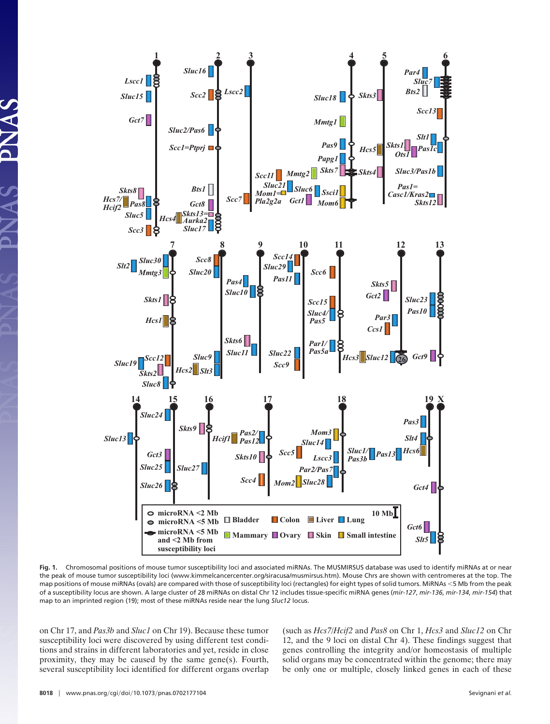

**Fig. 1.** Chromosomal positions of mouse tumor susceptibility loci and associated miRNAs. The MUSMIRSUS database was used to identify miRNAs at or near the peak of mouse tumor susceptibility loci (www.kimmelcancercenter.org/siracusa/musmirsus.htm). Mouse Chrs are shown with centromeres at the top. The map positions of mouse miRNAs (ovals) are compared with those of susceptibility loci (rectangles) for eight types of solid tumors. MiRNAs <5 Mb from the peak of a susceptibility locus are shown. A large cluster of 28 miRNAs on distal Chr 12 includes tissue-specific miRNA genes (*mir*-*127*, *mir*-*136*, *mir*-*134*, *mir*-*154*) that map to an imprinted region (19); most of these miRNAs reside near the lung *Sluc12* locus.

on Chr 17, and *Pas3b* and *Sluc1* on Chr 19). Because these tumor susceptibility loci were discovered by using different test conditions and strains in different laboratories and yet, reside in close proximity, they may be caused by the same gene(s). Fourth, several susceptibility loci identified for different organs overlap (such as *Hcs7*/*Hcif2* and *Pas8* on Chr 1, *Hcs3* and *Sluc12* on Chr 12, and the 9 loci on distal Chr 4). These findings suggest that genes controlling the integrity and/or homeostasis of multiple solid organs may be concentrated within the genome; there may be only one or multiple, closely linked genes in each of these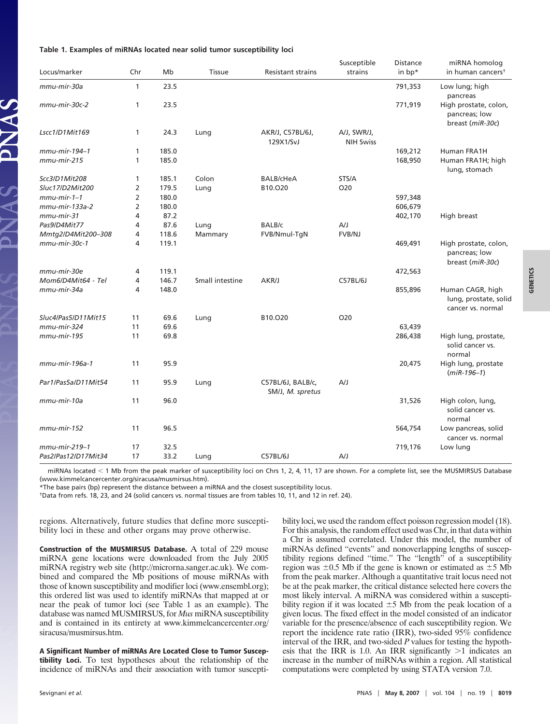## **Table 1. Examples of miRNAs located near solid tumor susceptibility loci**

| Locus/marker        | Chr            | Mb    | <b>Tissue</b>   | <b>Resistant strains</b>              | Susceptible<br>strains          | Distance<br>in $bp*$ | miRNA homolog<br>in human cancers <sup>†</sup>                 |
|---------------------|----------------|-------|-----------------|---------------------------------------|---------------------------------|----------------------|----------------------------------------------------------------|
| mmu-mir-30a         | $\mathbf{1}$   | 23.5  |                 |                                       |                                 | 791,353              | Low lung; high                                                 |
|                     |                |       |                 |                                       |                                 |                      | pancreas                                                       |
| $mmu$ -mir-30c-2    | 1              | 23.5  |                 |                                       |                                 | 771,919              | High prostate, colon,<br>pancreas; low<br>breast (miR-30c)     |
| Lscc1/D1Mit169      | $\mathbf{1}$   | 24.3  | Lung            | AKR/J, C57BL/6J,<br>129X1/SvJ         | A/J, SWR/J,<br><b>NIH Swiss</b> |                      |                                                                |
| mmu-mir-194-1       | 1              | 185.0 |                 |                                       |                                 | 169,212              | Human FRA1H                                                    |
| mmu-mir-215         | $\mathbf{1}$   | 185.0 |                 |                                       |                                 | 168,950              | Human FRA1H; high<br>lung, stomach                             |
| Scc3/D1Mit208       | $\mathbf{1}$   | 185.1 | Colon           | <b>BALB/cHeA</b>                      | STS/A                           |                      |                                                                |
| Sluc17/D2Mit200     | $\overline{2}$ | 179.5 | Lung            | B10.O20                               | O20                             |                      |                                                                |
| $mmu$ -mir-1-1      | $\overline{2}$ | 180.0 |                 |                                       |                                 | 597,348              |                                                                |
| $mmu$ -mir-133a-2   | $\overline{2}$ | 180.0 |                 |                                       |                                 | 606,679              |                                                                |
| $mmu$ -mir-31       | 4              | 87.2  |                 |                                       |                                 | 402,170              | High breast                                                    |
| Pas9/D4Mit77        | 4              | 87.6  | Lung            | BALB/c                                | A/J                             |                      |                                                                |
| Mmtg2/D4Mit200-308  | 4              | 118.6 | Mammary         | FVB/Nmul-TqN                          | FVB/NJ                          |                      |                                                                |
| mmu-mir-30c-1       | 4              | 119.1 |                 |                                       |                                 | 469,491              | High prostate, colon,<br>pancreas; low<br>breast (miR-30c)     |
| mmu-mir-30e         | 4              | 119.1 |                 |                                       |                                 | 472,563              |                                                                |
| Mom6/D4Mit64 - Tel  | 4              | 146.7 | Small intestine | AKR/J                                 | C57BL/6J                        |                      |                                                                |
| mmu-mir-34a         | 4              | 148.0 |                 |                                       |                                 | 855,896              | Human CAGR, high<br>lung, prostate, solid<br>cancer vs. normal |
| Sluc4/Pas5/D11Mit15 | 11             | 69.6  | Lung            | B10.O20                               | O20                             |                      |                                                                |
| $mmu$ -mir-324      | 11             | 69.6  |                 |                                       |                                 | 63,439               |                                                                |
| $mmu$ -mir-195      | 11             | 69.8  |                 |                                       |                                 | 286,438              | High lung, prostate,<br>solid cancer vs.<br>normal             |
| mmu-mir-196a-1      | 11             | 95.9  |                 |                                       |                                 | 20,475               | High lung, prostate<br>$(miR-196-1)$                           |
| Par1/Pas5a/D11Mit54 | 11             | 95.9  | Lung            | C57BL/6J, BALB/c,<br>SM/J, M. spretus | A/J                             |                      |                                                                |
| mmu-mir-10a         | 11             | 96.0  |                 |                                       |                                 | 31,526               | High colon, lung,<br>solid cancer vs.<br>normal                |
| $mmu$ -mir-152      | 11             | 96.5  |                 |                                       |                                 | 564,754              | Low pancreas, solid<br>cancer vs. normal                       |
| mmu-mir-219-1       | 17             | 32.5  |                 |                                       |                                 | 719,176              | Low lung                                                       |
| Pas2/Pas12/D17Mit34 | 17             | 33.2  | Lung            | C57BL/6J                              | A/J                             |                      |                                                                |

miRNAs located 1 Mb from the peak marker of susceptibility loci on Chrs 1, 2, 4, 11, 17 are shown. For a complete list, see the MUSMIRSUS Database (www.kimmelcancercenter.org/siracusa/musmirsus.htm).

\*The base pairs (bp) represent the distance between a miRNA and the closest susceptibility locus.

†Data from refs. 18, 23, and 24 (solid cancers vs. normal tissues are from tables 10, 11, and 12 in ref. 24).

regions. Alternatively, future studies that define more susceptibility loci in these and other organs may prove otherwise.

**Construction of the MUSMIRSUS Database.** A total of 229 mouse miRNA gene locations were downloaded from the July 2005 miRNA registry web site (http://microrna.sanger.ac.uk). We combined and compared the Mb positions of mouse miRNAs with those of known susceptibility and modifier loci (www.ensembl.org); this ordered list was used to identify miRNAs that mapped at or near the peak of tumor loci (see Table 1 as an example). The database was named MUSMIRSUS, for *Mus* miRNA susceptibility and is contained in its entirety at www.kimmelcancercenter.org/ siracusa/musmirsus.htm.

**A Significant Number of miRNAs Are Located Close to Tumor Susceptibility Loci.** To test hypotheses about the relationship of the incidence of miRNAs and their association with tumor susceptibility loci, we used the random effect poisson regression model (18). For this analysis, the random effect used was Chr, in that data within a Chr is assumed correlated. Under this model, the number of miRNAs defined ''events'' and nonoverlapping lengths of susceptibility regions defined ''time.'' The ''length'' of a susceptibility region was  $\pm 0.5$  Mb if the gene is known or estimated as  $\pm 5$  Mb from the peak marker. Although a quantitative trait locus need not be at the peak marker, the critical distance selected here covers the most likely interval. A miRNA was considered within a susceptibility region if it was located  $\pm$ 5 Mb from the peak location of a given locus. The fixed effect in the model consisted of an indicator variable for the presence/absence of each susceptibility region. We report the incidence rate ratio (IRR), two-sided 95% confidence interval of the IRR, and two-sided *P* values for testing the hypothesis that the IRR is 1.0. An IRR significantly  $>1$  indicates an increase in the number of miRNAs within a region. All statistical computations were completed by using STATA version 7.0.

AS PNAS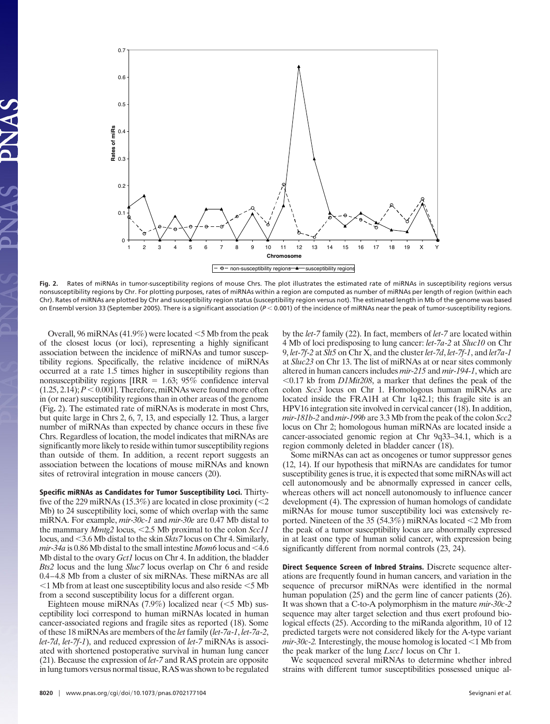

**Fig. 2.** Rates of miRNAs in tumor-susceptibility regions of mouse Chrs. The plot illustrates the estimated rate of miRNAs in susceptibility regions versus nonsusceptibility regions by Chr. For plotting purposes, rates of miRNAs within a region are computed as number of miRNAs per length of region (within each Chr). Rates of miRNAs are plotted by Chr and susceptibility region status (susceptibility region versus not). The estimated length in Mb of the genome was based on Ensembl version 33 (September 2005). There is a significant association ( $P < 0.001$ ) of the incidence of miRNAs near the peak of tumor-susceptibility regions.

Overall, 96 miRNAs (41.9%) were located  $\leq$  5 Mb from the peak of the closest locus (or loci), representing a highly significant association between the incidence of miRNAs and tumor susceptibility regions. Specifically, the relative incidence of miRNAs occurred at a rate 1.5 times higher in susceptibility regions than nonsusceptibility regions  $[IRR = 1.63; 95%$  confidence interval  $(1.25, 2.14); P < 0.001$ . Therefore, miRNAs were found more often in (or near) susceptibility regions than in other areas of the genome (Fig**.** 2). The estimated rate of miRNAs is moderate in most Chrs, but quite large in Chrs 2, 6, 7, 13, and especially 12. Thus, a larger number of miRNAs than expected by chance occurs in these five Chrs. Regardless of location, the model indicates that miRNAs are significantly more likely to reside within tumor susceptibility regions than outside of them. In addition, a recent report suggests an association between the locations of mouse miRNAs and known sites of retroviral integration in mouse cancers (20).

**Specific miRNAs as Candidates for Tumor Susceptibility Loci.** Thirtyfive of the 229 miRNAs  $(15.3\%)$  are located in close proximity (<2 Mb) to 24 susceptibility loci, some of which overlap with the same miRNA. For example, *mir*-*30c*-*1* and *mir*-*30e* are 0.47 Mb distal to the mammary *Mmtg2* locus, 2.5 Mb proximal to the colon *Scc11* locus, and 3.6 Mb distal to the skin *Skts7* locus on Chr 4. Similarly, *mir-34a* is 0.86 Mb distal to the small intestine *Mom6* locus and  $\leq 4.6$ Mb distal to the ovary *Gct1* locus on Chr 4. In addition, the bladder *Bts2* locus and the lung *Sluc7* locus overlap on Chr 6 and reside 0.4–4.8 Mb from a cluster of six miRNAs. These miRNAs are all  $1$  Mb from at least one susceptibility locus and also reside  $5$  Mb from a second susceptibility locus for a different organ.

Eighteen mouse miRNAs  $(7.9\%)$  localized near  $(<5$  Mb) susceptibility loci correspond to human miRNAs located in human cancer-associated regions and fragile sites as reported (18). Some of these 18 miRNAs are members of the *let* family (*let*-*7a*-*1*, *let*-*7a*-*2*, *let*-*7d*, *let*-*7f*-*1*), and reduced expression of *let*-*7* miRNAs is associated with shortened postoperative survival in human lung cancer (21). Because the expression of *let*-*7* and RAS protein are opposite in lung tumors versus normal tissue, RAS was shown to be regulated

**<sup>8020</sup>** www.pnas.org-cgi-doi-10.1073-pnas.0702177104 Sevignani *et al.*

by the *let*-*7* family (22). In fact, members of *let*-*7* are located within 4 Mb of loci predisposing to lung cancer: *let*-*7a*-*2* at *Sluc10* on Chr 9, *let*-*7f*-*2* at *Slt5* on Chr X, and the cluster*let*-*7d*, *let*-*7f*-*1*, and *let7a*-*1* at *Sluc23* on Chr 13. The list of miRNAs at or near sites commonly altered in human cancers includes *mir*-*215* and *mir*-*194*-*1*, which are 0.17 kb from *D1Mit208*, a marker that defines the peak of the colon *Scc3* locus on Chr 1. Homologous human miRNAs are located inside the FRA1H at Chr 1q42.1; this fragile site is an HPV16 integration site involved in cervical cancer (18). In addition, *mir*-*181b*-*2* and *mir*-*199b* are 3.3 Mb from the peak of the colon *Scc2* locus on Chr 2; homologous human miRNAs are located inside a cancer-associated genomic region at Chr 9q33–34.1, which is a region commonly deleted in bladder cancer (18).

Some miRNAs can act as oncogenes or tumor suppressor genes (12, 14). If our hypothesis that miRNAs are candidates for tumor susceptibility genes is true, it is expected that some miRNAs will act cell autonomously and be abnormally expressed in cancer cells, whereas others will act noncell autonomously to influence cancer development (4). The expression of human homologs of candidate miRNAs for mouse tumor susceptibility loci was extensively reported. Nineteen of the 35 (54.3%) miRNAs located  $\leq$ 2 Mb from the peak of a tumor susceptibility locus are abnormally expressed in at least one type of human solid cancer, with expression being significantly different from normal controls (23, 24).

**Direct Sequence Screen of Inbred Strains.** Discrete sequence alterations are frequently found in human cancers, and variation in the sequence of precursor miRNAs were identified in the normal human population (25) and the germ line of cancer patients (26). It was shown that a C-to-A polymorphism in the mature *mir*-*30c*-*2* sequence may alter target selection and thus exert profound biological effects (25). According to the miRanda algorithm, 10 of 12 predicted targets were not considered likely for the A-type variant *mir-30c-2.* Interestingly, the mouse homolog is located  $\leq 1$  Mb from the peak marker of the lung *Lscc1* locus on Chr 1.

We sequenced several miRNAs to determine whether inbred strains with different tumor susceptibilities possessed unique al-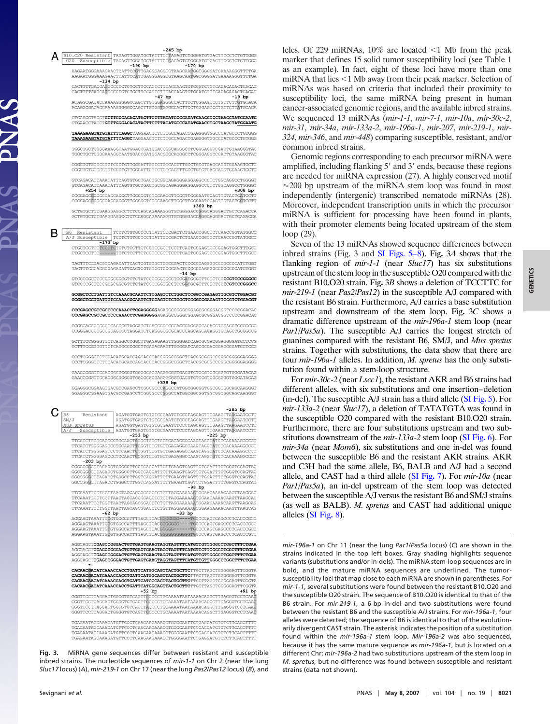

**Fig. 3.** MiRNA gene sequences differ between resistant and susceptible inbred strains. The nucleotide sequences of *mir*-*1*-*1* on Chr 2 (near the lung *Sluc17* locus) (*A*), *mir*-*219*-*1* on Chr 17 (near the lung *Pas2*/*Pas12* locus) (*B*), and

leles. Of 229 miRNAs,  $10\%$  are located  $\leq 1$  Mb from the peak marker that defines 15 solid tumor susceptibility loci (see Table 1 as an example). In fact, eight of these loci have more than one miRNA that lies  $\leq 1$  Mb away from their peak marker. Selection of miRNAs was based on criteria that included their proximity to susceptibility loci, the same miRNA being present in human cancer-associated genomic regions, and the available inbred strains. We sequenced 13 miRNAs (*mir*-*1*-*1*, *mir*-*7*-*1*, *mir*-*10a*, *mir*-*30c*-*2*, *mir*-*31*, *mir*-*34a*, *mir*-*133a*-*2*, *mir*-*196a*-*1*, *mir*-*207*, *mir*-*219*-*1*, *mir*-*324*, *mir*-*346*, and *mir*-*448*) comparing susceptible, resistant, and/or common inbred strains.

Genomic regions corresponding to each precursor miRNA were amplified, including flanking  $5'$  and  $3'$  ends, because these regions are needed for miRNA expression (27). A highly conserved motif  $\approx$  200 bp upstream of the miRNA stem loop was found in most independently (intergenic) transcribed nematode miRNAs (28). Moreover, independent transcription units in which the precursor miRNA is sufficient for processing have been found in plants, with their promoter elements being located upstream of the stem loop (29).

Seven of the 13 miRNAs showed sequence differences between inbred strains (Fig. 3 and [SI Figs. 5–8\)](http://www.pnas.org/cgi/content/full/0702177104/DC1). Fig**.** 3*A* shows that the flanking region of *mir*-*1*-*1* (near *Sluc17*) has six substitutions upstream of the stem loop in the susceptible O20 compared with the resistant B10.O20 strain. Fig**.** 3*B* shows a deletion of TCCTTC for *mir*-*219*-*1* (near *Pas2*/*Pas12*) in the susceptible A/J compared with the resistant B6 strain. Furthermore, A/J carries a base substitution upstream and downstream of the stem loop. Fig**.** 3*C* shows a dramatic difference upstream of the *mir*-*196a*-*1* stem loop (near *Par1*/*Pas5a*). The susceptible A/J carries the longest stretch of guanines compared with the resistant B6, SM/J, and *Mus spretus* strains. Together with substitutions, the data show that there are four *mir*-*196a*-*1* alleles. In addition, *M. spretus* has the only substitution found within a stem-loop structure.

For *mir*-*30c*-*2* (near *Lscc1*), the resistant AKR and B6 strains had different alleles, with six substitutions and one insertion–deletion (in-del). The susceptible A/J strain has a third allele [\(SI Fig](http://www.pnas.org/cgi/content/full/0702177104/DC1)**.** 5). For *mir*-*133a*-*2* (near *Sluc17*), a deletion of TATATGTA was found in the susceptible O20 compared with the resistant B10.O20 strain. Furthermore, there are four substitutions upstream and two substitutions downstream of the *mir*-*133a*-*2* stem loop [\(SI Fig](http://www.pnas.org/cgi/content/full/0702177104/DC1)**.** 6). For *mir*-*34a* (near *Mom6*), six substitutions and one in-del was found between the susceptible B6 and the resistant AKR strains. AKR and C3H had the same allele, B6, BALB and A/J had a second allele, and CAST had a third allele [\(SI Fig](http://www.pnas.org/cgi/content/full/0702177104/DC1)**.** 7)**.** For *mir*-*10a* (near *Par1*/*Pas5a*), an in-del upstream of the stem loop was detected between the susceptible A/J versus the resistant B6 and SM/J strains (as well as BALB). *M. spretus* and CAST had additional unique alleles [\(SI Fig](http://www.pnas.org/cgi/content/full/0702177104/DC1)**.** 8).

*mir*-*196a*-*1* on Chr 11 (near the lung *Par1*/*Pas5a* locus) (*C*) are shown in the strains indicated in the top left boxes. Gray shading highlights sequence variants (substitutions and/or in-dels). The miRNA stem-loop sequences are in bold, and the mature miRNA sequences are underlined. The tumorsusceptibility loci that map close to each miRNA are shown in parentheses. For *mir*-*1*-*1*, several substitutions were found between the resistant B10.O20 and the susceptible O20 strain. The sequence of B10.O20 is identical to that of the B6 strain. For *mir*-*219*-*1*, a 6-bp in-del and two substitutions were found between the resistant B6 and the susceptible A/J strains. For *mir*-*196a*-*1*, four alleles were detected; the sequence of B6 is identical to that of the evolutionarily divergent CAST strain. The asterisk indicates the position of a substitution found within the *mir*-*196a*-*1* stem loop. *Mir*-*196a*-*2* was also sequenced, because it has the same mature sequence as *mir*-*196a*-*1*, but is located on a different Chr; *mir*-*196a*-*2* had two substitutions upstream of the stem loop in *M. spretus*, but no difference was found between susceptible and resistant strains (data not shown).